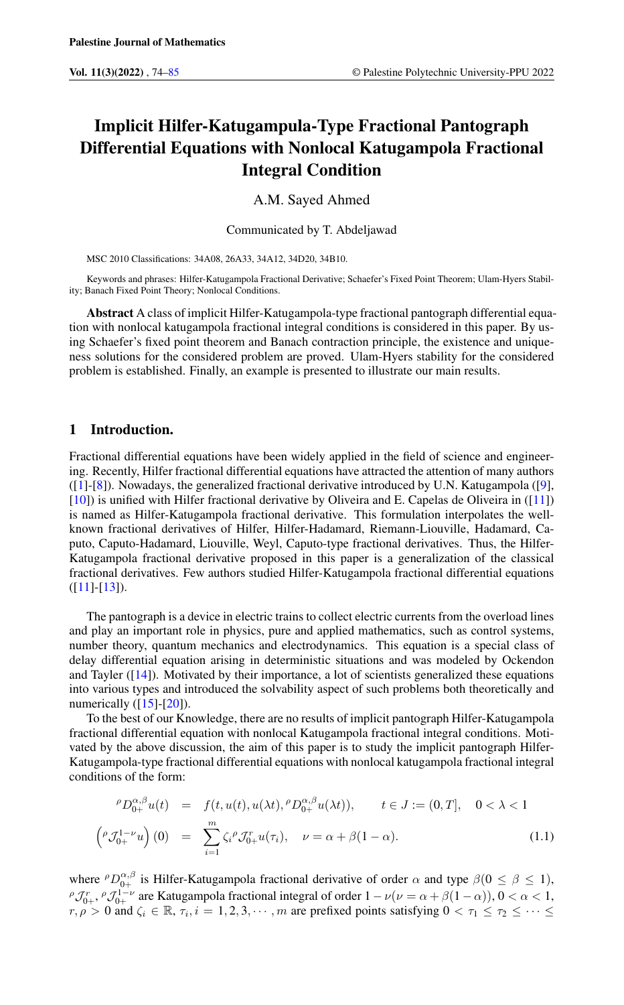# Implicit Hilfer-Katugampula-Type Fractional Pantograph Differential Equations with Nonlocal Katugampola Fractional Integral Condition

A.M. Sayed Ahmed

Communicated by T. Abdeljawad

MSC 2010 Classifications: 34A08, 26A33, 34A12, 34D20, 34B10.

Keywords and phrases: Hilfer-Katugampola Fractional Derivative; Schaefer's Fixed Point Theorem; Ulam-Hyers Stability; Banach Fixed Point Theory; Nonlocal Conditions.

Abstract A class of implicit Hilfer-Katugampola-type fractional pantograph differential equation with nonlocal katugampola fractional integral conditions is considered in this paper. By using Schaefer's fixed point theorem and Banach contraction principle, the existence and uniqueness solutions for the considered problem are proved. Ulam-Hyers stability for the considered problem is established. Finally, an example is presented to illustrate our main results.

# 1 Introduction.

 $\sqrt{ }$ 

Fractional differential equations have been widely applied in the field of science and engineering. Recently, Hilfer fractional differential equations have attracted the attention of many authors ([\[1\]](#page-10-1)-[\[8\]](#page-11-0)). Nowadays, the generalized fractional derivative introduced by U.N. Katugampola ([\[9\]](#page-11-1), [\[10\]](#page-11-2)) is unified with Hilfer fractional derivative by Oliveira and E. Capelas de Oliveira in ([\[11\]](#page-11-3)) is named as Hilfer-Katugampola fractional derivative. This formulation interpolates the wellknown fractional derivatives of Hilfer, Hilfer-Hadamard, Riemann-Liouville, Hadamard, Caputo, Caputo-Hadamard, Liouville, Weyl, Caputo-type fractional derivatives. Thus, the Hilfer-Katugampola fractional derivative proposed in this paper is a generalization of the classical fractional derivatives. Few authors studied Hilfer-Katugampola fractional differential equations  $([11] - [13]).$  $([11] - [13]).$  $([11] - [13]).$  $([11] - [13]).$  $([11] - [13]).$ 

The pantograph is a device in electric trains to collect electric currents from the overload lines and play an important role in physics, pure and applied mathematics, such as control systems, number theory, quantum mechanics and electrodynamics. This equation is a special class of delay differential equation arising in deterministic situations and was modeled by Ockendon and Tayler ([\[14\]](#page-11-5)). Motivated by their importance, a lot of scientists generalized these equations into various types and introduced the solvability aspect of such problems both theoretically and numerically  $([15]$  $([15]$ - $[20]$ ).

To the best of our Knowledge, there are no results of implicit pantograph Hilfer-Katugampola fractional differential equation with nonlocal Katugampola fractional integral conditions. Motivated by the above discussion, the aim of this paper is to study the implicit pantograph Hilfer-Katugampola-type fractional differential equations with nonlocal katugampola fractional integral conditions of the form:

<span id="page-0-0"></span>
$$
\rho D_{0+}^{\alpha,\beta} u(t) = f(t, u(t), u(\lambda t), \rho D_{0+}^{\alpha,\beta} u(\lambda t)), \qquad t \in J := (0, T], \quad 0 < \lambda < 1
$$
  

$$
\rho \mathcal{J}_{0+}^{1-\nu} u \Big) (0) = \sum_{i=0}^{m} \zeta_i^{\beta} \mathcal{J}_{0+}^{r} u(\tau_i), \quad \nu = \alpha + \beta (1 - \alpha).
$$
 (1.1)

where  $^{\rho}D_{0+}^{\alpha,\beta}$  is Hilfer-Katugampola fractional derivative of order  $\alpha$  and type  $\beta(0 \le \beta \le 1)$ ,  $\int_{0}^{\rho} \mathcal{J}_{0+}^{r}$ ,  $\int_{0+}^{1-\nu}$  are Katugampola fractional integral of order  $1-\nu(\nu=\alpha+\beta(1-\alpha))$ ,  $0<\alpha<1$ ,  $r, \rho > 0$  and  $\zeta_i \in \mathbb{R}, \tau_i, i = 1, 2, 3, \cdots, m$  are prefixed points satisfying  $0 < \tau_1 \leq \tau_2 \leq \cdots \leq$ 

 $i=1$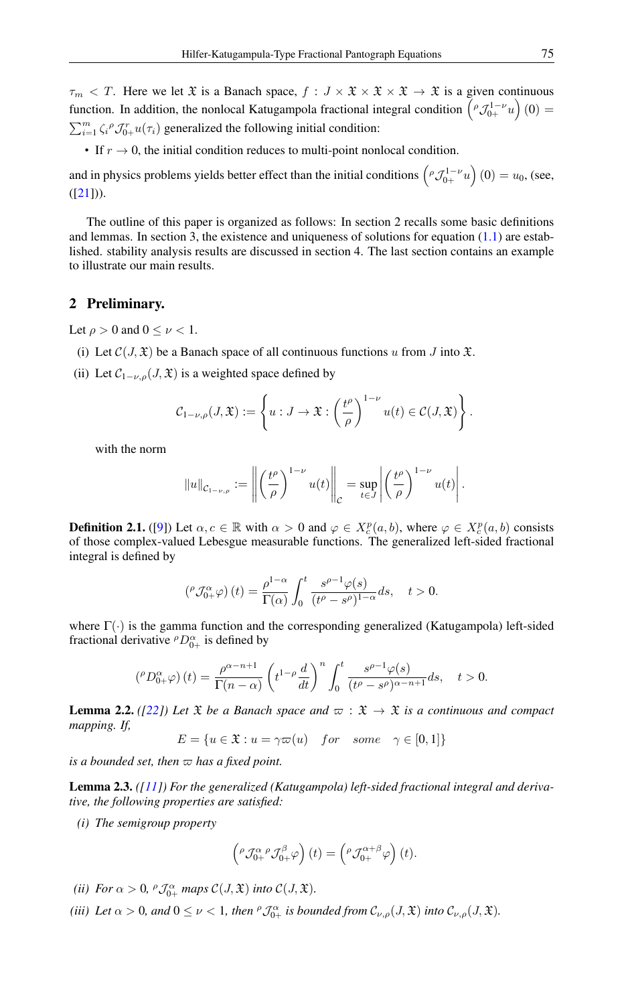$\tau_m < T$ . Here we let  $\mathfrak{X}$  is a Banach space,  $f : J \times \mathfrak{X} \times \mathfrak{X} \times \mathfrak{X} \to \mathfrak{X}$  is a given continuous function. In addition, the nonlocal Katugampola fractional integral condition  $(\rho \mathcal{J}_{0+}^{1-\nu} u)(0) =$  $\sum_{i=1}^{m} \zeta_i^{\rho} \mathcal{J}_{0+}^{r} u(\tau_i)$  generalized the following initial condition:

• If  $r \to 0$ , the initial condition reduces to multi-point nonlocal condition.

and in physics problems yields better effect than the initial conditions  $(\rho \mathcal{J}_{0+}^{1-\nu} u)(0) = u_0$ , (see,  $([21]).$  $([21]).$  $([21]).$ 

The outline of this paper is organized as follows: In section 2 recalls some basic definitions and lemmas. In section 3, the existence and uniqueness of solutions for equation [\(1.1\)](#page-0-0) are established. stability analysis results are discussed in section 4. The last section contains an example to illustrate our main results.

## 2 Preliminary.

Let  $\rho > 0$  and  $0 \leq \nu < 1$ .

- (i) Let  $\mathcal{C}(J, \mathfrak{X})$  be a Banach space of all continuous functions u from J into X.
- (ii) Let  $C_{1-\nu,\rho}(J,\mathfrak{X})$  is a weighted space defined by

$$
\mathcal{C}_{1-\nu,\rho}(J,\mathfrak{X}):=\left\{u:J\to\mathfrak{X}:\left(\frac{t^{\rho}}{\rho}\right)^{1-\nu}u(t)\in\mathcal{C}(J,\mathfrak{X})\right\}.
$$

with the norm

$$
||u||_{\mathcal{C}_{1-\nu,\rho}} := \left\| \left(\frac{t^{\rho}}{\rho}\right)^{1-\nu} u(t) \right\|_{\mathcal{C}} = \sup_{t \in J} \left| \left(\frac{t^{\rho}}{\rho}\right)^{1-\nu} u(t) \right|.
$$

<span id="page-1-0"></span>**Definition 2.1.** ([\[9\]](#page-11-1)) Let  $\alpha, c \in \mathbb{R}$  with  $\alpha > 0$  and  $\varphi \in X_c^p(a, b)$ , where  $\varphi \in X_c^p(a, b)$  consists of those complex-valued Lebesgue measurable functions. The generalized left-sided fractional integral is defined by

$$
\left({}^{\rho}\mathcal{J}_{0+}^{\alpha}\varphi\right)(t)=\frac{\rho^{1-\alpha}}{\Gamma(\alpha)}\int_{0}^{t}\frac{s^{\rho-1}\varphi(s)}{(t^{\rho}-s^{\rho})^{1-\alpha}}ds,\quad t>0.
$$

where  $\Gamma(\cdot)$  is the gamma function and the corresponding generalized (Katugampola) left-sided fractional derivative  $^{\rho}D_{0+}^{\alpha}$  is defined by

$$
\left({}^{\rho}D_{0+}^{\alpha}\varphi\right)(t) = \frac{\rho^{\alpha-n+1}}{\Gamma(n-\alpha)} \left(t^{1-\rho}\frac{d}{dt}\right)^n \int_0^t \frac{s^{\rho-1}\varphi(s)}{(t^{\rho}-s^{\rho})^{\alpha-n+1}}ds, \quad t>0.
$$

**Lemma 2.2.** *(*[\[22\]](#page-11-9)*)* Let  $\mathfrak{X}$  *be a Banach space and*  $\varpi : \mathfrak{X} \to \mathfrak{X}$  *is a continuous and compact mapping. If,*

$$
E = \{ u \in \mathfrak{X} : u = \gamma \varpi(u) \quad for \quad some \quad \gamma \in [0, 1] \}
$$

*is a bounded set, then*  $\varpi$  *has a fixed point.* 

<span id="page-1-1"></span>Lemma 2.3. *([\[11\]](#page-11-3)) For the generalized (Katugampola) left-sided fractional integral and derivative, the following properties are satisfied:*

*(i) The semigroup property*

$$
\left({}^{\rho}\mathcal{J}_{0+}^{\alpha \ \rho}\mathcal{J}_{0+}^{\beta}\varphi\right)(t) = \left({}^{\rho}\mathcal{J}_{0+}^{\alpha+\beta}\varphi\right)(t).
$$

- *(ii) For*  $\alpha > 0$ ,  ${}^{\rho} \mathcal{J}_{0+}^{\alpha}$  *maps*  $\mathcal{C}(J, \mathfrak{X})$  *into*  $\mathcal{C}(J, \mathfrak{X})$ *.*
- (*iii*) Let  $\alpha > 0$ , and  $0 \le \nu < 1$ , then  $^{\rho} \mathcal{J}_{0+}^{\alpha}$  is bounded from  $\mathcal{C}_{\nu,\rho}(J,\mathfrak{X})$  into  $\mathcal{C}_{\nu,\rho}(J,\mathfrak{X})$ .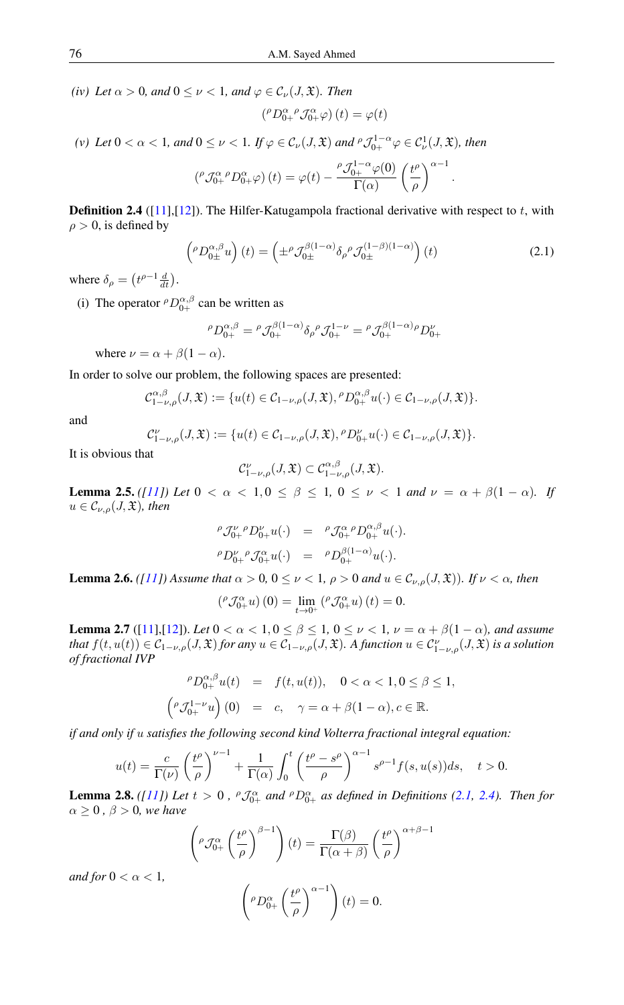*(iv) Let*  $\alpha > 0$ *, and*  $0 \le \nu < 1$ *, and*  $\varphi \in C_{\nu}(J, \mathfrak{X})$ *. Then* 

$$
\left({}^{\rho}D_{0+}^{\alpha}{}^{\rho}\mathcal{J}_{0+}^{\alpha}\varphi\right)(t)=\varphi(t)
$$

(*v*) Let  $0 < \alpha < 1$ , and  $0 \le \nu < 1$ . If  $\varphi \in C_{\nu}(J,\mathfrak{X})$  and  $^{\rho} \mathcal{J}_{0+}^{1-\alpha} \varphi \in C_{\nu}^{1}(J,\mathfrak{X})$ , then

$$
\left({}^{\rho}\mathcal{J}_{0+}^{\alpha}{}^{\rho}D_{0+}^{\alpha}\varphi\right)(t)=\varphi(t)-\frac{{}^{\rho}\mathcal{J}_{0+}^{1-\alpha}\varphi(0)}{\Gamma(\alpha)}\left(\frac{t^{\rho}}{\rho}\right)^{\alpha-1}
$$

<span id="page-2-0"></span>**Definition 2.4** ( $[11]$ , $[12]$ ). The Hilfer-Katugampola fractional derivative with respect to t, with  $\rho > 0$ , is defined by

$$
\left({}^{\rho}D_{0\pm}^{\alpha,\beta}u\right)(t) = \left(\pm {}^{\rho}\mathcal{J}_{0\pm}^{\beta(1-\alpha)}\delta_{\rho}{}^{\rho}\mathcal{J}_{0\pm}^{(1-\beta)(1-\alpha)}\right)(t)
$$
\n(2.1)

.

where  $\delta_{\rho} = \left(t^{\rho-1} \frac{d}{dt}\right)$ .

(i) The operator  ${}^{\rho}D_{0+}^{\alpha,\beta}$  can be written as

$$
{}^{\rho}D_{0+}^{\alpha,\beta} = {}^{\rho}\mathcal{J}_{0+}^{\beta(1-\alpha)}\delta_{\rho}{}^{\rho}\mathcal{J}_{0+}^{1-\nu} = {}^{\rho}\mathcal{J}_{0+}^{\beta(1-\alpha)\rho}D_{0+}^{\nu}
$$

where  $\nu = \alpha + \beta(1 - \alpha)$ .

In order to solve our problem, the following spaces are presented:

$$
\mathcal{C}_{1-\nu,\rho}^{\alpha,\beta}(J,\mathfrak{X}):=\{u(t)\in\mathcal{C}_{1-\nu,\rho}(J,\mathfrak{X}),{}^{\rho}D_{0+}^{\alpha,\beta}u(\cdot)\in\mathcal{C}_{1-\nu,\rho}(J,\mathfrak{X})\}.
$$

and

$$
\mathcal{C}_{1-\nu,\rho}^{\nu}(J,\mathfrak{X}):=\{u(t)\in \mathcal{C}_{1-\nu,\rho}(J,\mathfrak{X}), {}^{\rho}D_{0+}^{\nu}u(\cdot)\in \mathcal{C}_{1-\nu,\rho}(J,\mathfrak{X})\}.
$$

It is obvious that

$$
\mathcal{C}^{\nu}_{1-\nu,\rho}(J,\mathfrak{X})\subset \mathcal{C}^{\alpha,\beta}_{1-\nu,\rho}(J,\mathfrak{X}).
$$

**Lemma 2.5.** *([\[11\]](#page-11-3))* Let  $0 < \alpha < 1, 0 \le \beta \le 1, 0 \le \nu < 1$  and  $\nu = \alpha + \beta(1 - \alpha)$ *. If*  $u \in \mathcal{C}_{\nu,\rho}(J,\mathfrak{X})$ *, then* 

$$
\begin{array}{rcl}\n\ ^{\rho }\mathcal{J}_{0+}^{\nu }\rho D_{0+}^{\nu }u(\cdot ) & = & \ ^{\rho }\mathcal{J}_{0+}^{\alpha }\rho D_{0+}^{\alpha \beta }u(\cdot ).\\
^{\rho }D_{0+}^{\nu }\rho \mathcal{J}_{0+}^{\alpha }u(\cdot ) & = & \ ^{\rho }D_{0+}^{\beta (1-\alpha )}u(\cdot ).\end{array}
$$

**Lemma 2.6.** *([\[11\]](#page-11-3))* Assume that  $\alpha > 0$ ,  $0 \le \nu < 1$ ,  $\rho > 0$  and  $u \in C_{\nu,\rho}(J,\mathfrak{X})$ *). If*  $\nu < \alpha$ *, then* 

$$
\left({}^{\rho}\mathcal{J}^{\alpha}_{0+}u\right)(0)=\lim_{t\rightarrow0^{+}}\left({}^{\rho}\mathcal{J}^{\alpha}_{0+}u\right)(t)=0.
$$

<span id="page-2-1"></span>**Lemma 2.7** ([\[11\]](#page-11-3),[\[12\]](#page-11-10)). *Let*  $0 < \alpha < 1, 0 \le \beta \le 1, 0 \le \nu < 1, \nu = \alpha + \beta(1 - \alpha)$ *, and assume that*  $f(t, u(t)) \in C_{1-\nu,\rho}(J, \mathfrak{X})$  *for any*  $u \in C_{1-\nu,\rho}(J, \mathfrak{X})$ *. A function*  $u \in C_{1-\nu,\rho}^{\nu}(J, \mathfrak{X})$  *is a solution of fractional IVP*

$$
\rho D_{0+}^{\alpha,\beta} u(t) = f(t, u(t)), \quad 0 < \alpha < 1, 0 \le \beta \le 1,
$$
  

$$
\left( \rho \mathcal{J}_{0+}^{1-\nu} u \right)(0) = c, \quad \gamma = \alpha + \beta(1-\alpha), c \in \mathbb{R}.
$$

*if and only if* u *satisfies the following second kind Volterra fractional integral equation:*

$$
u(t) = \frac{c}{\Gamma(\nu)} \left(\frac{t^{\rho}}{\rho}\right)^{\nu-1} + \frac{1}{\Gamma(\alpha)} \int_0^t \left(\frac{t^{\rho} - s^{\rho}}{\rho}\right)^{\alpha-1} s^{\rho-1} f(s, u(s)) ds, \quad t > 0.
$$

<span id="page-2-2"></span>**Lemma 2.8.** *([\[11\]](#page-11-3)) Let*  $t > 0$ ,  ${}^{\rho} \mathcal{J}_{0+}^{\alpha}$  *and*  ${}^{\rho}D_{0+}^{\alpha}$  *as defined in Definitions [\(2.1,](#page-1-0) [2.4\)](#page-2-0). Then for*  $\alpha \geq 0$ ,  $\beta > 0$ , we have

$$
\left({}^{\rho}\mathcal{J}_{0+}^{\alpha}\left(\frac{t^{\rho}}{\rho}\right)^{\beta-1}\right)(t)=\frac{\Gamma(\beta)}{\Gamma(\alpha+\beta)}\left(\frac{t^{\rho}}{\rho}\right)^{\alpha+\beta-1}
$$

*and for*  $0 < \alpha < 1$ *,* 

$$
\left({}^{\rho}D_{0+}^{\alpha}\left(\frac{t^{\rho}}{\rho}\right)^{\alpha-1}\right)(t)=0.
$$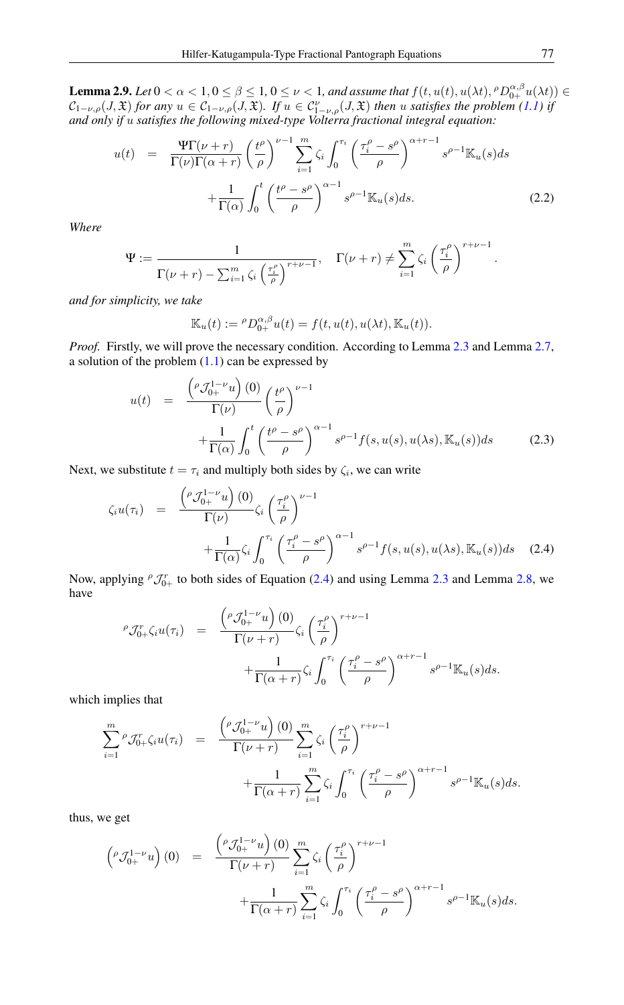<span id="page-3-3"></span>**Lemma 2.9.** *Let*  $0 < \alpha < 1, 0 \le \beta \le 1, 0 \le \nu < 1$ , and assume that  $f(t, u(t), u(\lambda t), {^{\rho}D}_{0+}^{\alpha,\beta}u(\lambda t)) \in$  $\mathcal{C}_{1-\nu,\rho}(J,\mathfrak{X})$  for any  $u \in \mathcal{C}_{1-\nu,\rho}(J,\mathfrak{X})$ . If  $u \in \mathcal{C}_{1-\nu,\rho}^{\nu}(J,\mathfrak{X})$  then u satisfies the problem  $(1.1)$  if *and only if* u *satisfies the following mixed-type Volterra fractional integral equation:*

<span id="page-3-2"></span>
$$
u(t) = \frac{\Psi \Gamma(\nu + r)}{\Gamma(\nu)\Gamma(\alpha + r)} \left(\frac{t^{\rho}}{\rho}\right)^{\nu - 1} \sum_{i=1}^{m} \zeta_i \int_0^{\tau_i} \left(\frac{\tau_i^{\rho} - s^{\rho}}{\rho}\right)^{\alpha + r - 1} s^{\rho - 1} \mathbb{K}_u(s) ds + \frac{1}{\Gamma(\alpha)} \int_0^t \left(\frac{t^{\rho} - s^{\rho}}{\rho}\right)^{\alpha - 1} s^{\rho - 1} \mathbb{K}_u(s) ds.
$$
 (2.2)

*Where*

$$
\Psi := \frac{1}{\Gamma(\nu + r) - \sum_{i=1}^{m} \zeta_i \left(\frac{\tau_i^{\rho}}{\rho}\right)^{r+\nu-1}}, \quad \Gamma(\nu + r) \neq \sum_{i=1}^{m} \zeta_i \left(\frac{\tau_i^{\rho}}{\rho}\right)^{r+\nu-1}
$$

*and for simplicity, we take*

$$
\mathbb{K}_u(t) := {}^{\rho}D_{0+}^{\alpha,\beta}u(t) = f(t, u(t), u(\lambda t), \mathbb{K}_u(t)).
$$

*Proof.* Firstly, we will prove the necessary condition. According to Lemma [2.3](#page-1-1) and Lemma [2.7,](#page-2-1) a solution of the problem  $(1.1)$  can be expressed by

<span id="page-3-1"></span>
$$
u(t) = \frac{\left(\rho \mathcal{J}_{0+}^{1-\nu} u\right)(0)}{\Gamma(\nu)} \left(\frac{t^{\rho}}{\rho}\right)^{\nu-1} + \frac{1}{\Gamma(\alpha)} \int_0^t \left(\frac{t^{\rho} - s^{\rho}}{\rho}\right)^{\alpha-1} s^{\rho-1} f(s, u(s), u(\lambda s), \mathbb{K}_u(s)) ds \qquad (2.3)
$$

Next, we substitute  $t = \tau_i$  and multiply both sides by  $\zeta_i$ , we can write

<span id="page-3-0"></span>
$$
\zeta_i u(\tau_i) = \frac{\left(\rho \mathcal{J}_{0+}^{1-\nu} u\right)(0)}{\Gamma(\nu)} \zeta_i \left(\frac{\tau_i^{\rho}}{\rho}\right)^{\nu-1} + \frac{1}{\Gamma(\alpha)} \zeta_i \int_0^{\tau_i} \left(\frac{\tau_i^{\rho} - s^{\rho}}{\rho}\right)^{\alpha-1} s^{\rho-1} f(s, u(s), u(\lambda s), \mathbb{K}_u(s)) ds \quad (2.4)
$$

Now, applying  ${}^{\rho} \mathcal{J}_{0+}^r$  to both sides of Equation [\(2.4\)](#page-3-0) and using Lemma [2.3](#page-1-1) and Lemma [2.8,](#page-2-2) we have

$$
\rho \mathcal{J}_{0+}^r \zeta_i u(\tau_i) = \frac{\left(\rho \mathcal{J}_{0+}^{1-\nu} u\right)(0)}{\Gamma(\nu+r)} \zeta_i \left(\frac{\tau_i^{\rho}}{\rho}\right)^{r+\nu-1} + \frac{1}{\Gamma(\alpha+r)} \zeta_i \int_0^{\tau_i} \left(\frac{\tau_i^{\rho} - s^{\rho}}{\rho}\right)^{\alpha+r-1} s^{\rho-1} \mathbb{K}_u(s) ds.
$$

which implies that

$$
\sum_{i=1}^{m} \rho \mathcal{J}_{0+}^{r} \zeta_i u(\tau_i) = \frac{\left(\rho \mathcal{J}_{0+}^{1-\nu} u\right)(0)}{\Gamma(\nu+r)} \sum_{i=1}^{m} \zeta_i \left(\frac{\tau_i^{\rho}}{\rho}\right)^{r+\nu-1} + \frac{1}{\Gamma(\alpha+r)} \sum_{i=1}^{m} \zeta_i \int_0^{\tau_i} \left(\frac{\tau_i^{\rho} - s^{\rho}}{\rho}\right)^{\alpha+r-1} s^{\rho-1} \mathbb{K}_u(s) ds.
$$

thus, we get

$$
\begin{array}{rcl}\n\left({}^{\rho}\mathcal{J}_{0+}^{1-\nu}u\right)(0) & = & \frac{\left({}^{\rho}\mathcal{J}_{0+}^{1-\nu}u\right)(0)}{\Gamma(\nu+r)} \sum_{i=1}^{m} \zeta_i \left(\frac{\tau_i^{\rho}}{\rho}\right)^{r+\nu-1} \\
& & + \frac{1}{\Gamma(\alpha+r)} \sum_{i=1}^{m} \zeta_i \int_0^{\tau_i} \left(\frac{\tau_i^{\rho} - s^{\rho}}{\rho}\right)^{\alpha+r-1} s^{\rho-1} \mathbb{K}_u(s) ds.\n\end{array}
$$

.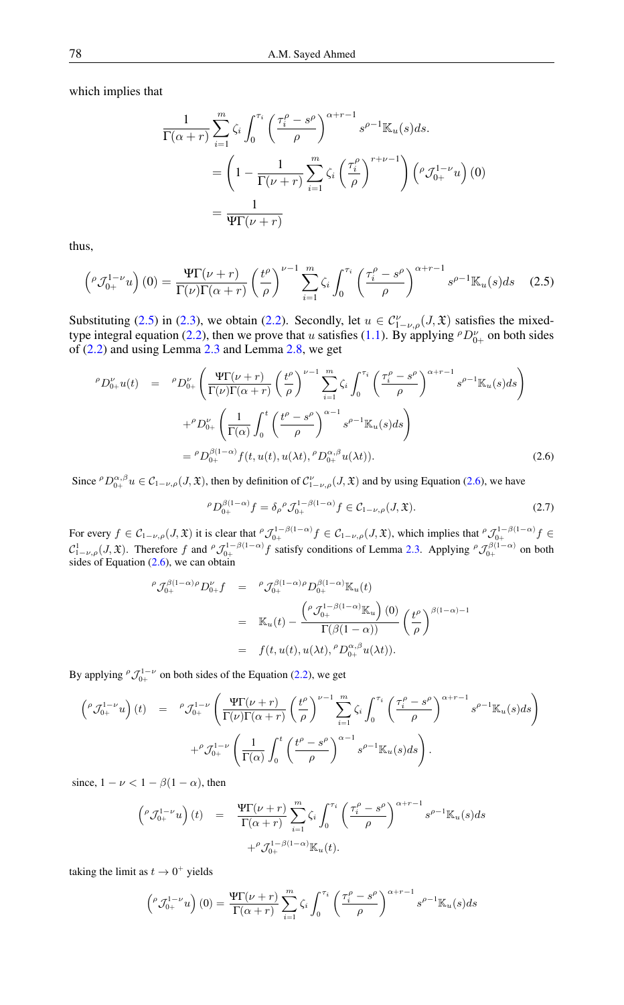which implies that

$$
\frac{1}{\Gamma(\alpha+r)} \sum_{i=1}^{m} \zeta_i \int_0^{\tau_i} \left(\frac{\tau_i^{\rho} - s^{\rho}}{\rho}\right)^{\alpha+r-1} s^{\rho-1} \mathbb{K}_u(s) ds.
$$

$$
= \left(1 - \frac{1}{\Gamma(\nu+r)} \sum_{i=1}^{m} \zeta_i \left(\frac{\tau_i^{\rho}}{\rho}\right)^{r+\nu-1}\right) \left(\rho \mathcal{J}_{0+}^{1-\nu} u\right) (0)
$$

$$
= \frac{1}{\Psi \Gamma(\nu+r)}
$$

<span id="page-4-0"></span>thus,

$$
\left(^{\rho}\mathcal{J}_{0+}^{1-\nu}u\right)(0) = \frac{\Psi\Gamma(\nu+r)}{\Gamma(\nu)\Gamma(\alpha+r)} \left(\frac{t^{\rho}}{\rho}\right)^{\nu-1} \sum_{i=1}^{m} \zeta_i \int_0^{\tau_i} \left(\frac{\tau_i^{\rho} - s^{\rho}}{\rho}\right)^{\alpha+r-1} s^{\rho-1} \mathbb{K}_u(s) ds \quad (2.5)
$$

Substituting [\(2.5\)](#page-4-0) in [\(2.3\)](#page-3-1), we obtain [\(2.2\)](#page-3-2). Secondly, let  $u \in C_{1-\nu,\rho}^{\nu}(J,\mathfrak{X})$  satisfies the mixed-type integral equation [\(2.2\)](#page-3-2), then we prove that u satisfies [\(1.1\)](#page-0-0). By applying  ${}^{\rho}D_{0+}^{\nu}$  on both sides of [\(2.2\)](#page-3-2) and using Lemma [2.3](#page-1-1) and Lemma [2.8,](#page-2-2) we get

<span id="page-4-1"></span>
$$
\rho_{D_{0+}^{\nu}u(t)} = \rho_{D_{0+}^{\nu}}\left(\frac{\Psi\Gamma(\nu+r)}{\Gamma(\nu)\Gamma(\alpha+r)}\left(\frac{t^{\rho}}{\rho}\right)^{\nu-1}\sum_{i=1}^{m}\zeta_{i}\int_{0}^{\tau_{i}}\left(\frac{\tau_{i}^{\rho}-s^{\rho}}{\rho}\right)^{\alpha+r-1}s^{\rho-1}\mathbb{K}_{u}(s)ds\right)
$$

$$
+\rho_{D_{0+}^{\nu}}\left(\frac{1}{\Gamma(\alpha)}\int_{0}^{t}\left(\frac{t^{\rho}-s^{\rho}}{\rho}\right)^{\alpha-1}s^{\rho-1}\mathbb{K}_{u}(s)ds\right)
$$

$$
=\rho_{D_{0+}^{\beta(1-\alpha)}}f(t,u(t),u(\lambda t),\rho_{D_{0+}^{\alpha,\beta}}u(\lambda t)).
$$
(2.6)

Since  ${}^{\rho}D_{0+}^{\alpha,\beta}u \in \mathcal{C}_{1-\nu,\rho}(J,\mathfrak{X})$ , then by definition of  $\mathcal{C}_{1-\nu,\rho}^{\nu}(J,\mathfrak{X})$  and by using Equation [\(2.6\)](#page-4-1), we have

$$
{}^{\rho}D_{0+}^{\beta(1-\alpha)}f = \delta_{\rho}{}^{\rho}\mathcal{J}_{0+}^{1-\beta(1-\alpha)}f \in \mathcal{C}_{1-\nu,\rho}(J,\mathfrak{X}).\tag{2.7}
$$

For every  $f \in C_{1-\nu,\rho}(J,\mathfrak{X})$  it is clear that  $^{\rho} \mathcal{J}_{0+}^{1-\beta(1-\alpha)} f \in C_{1-\nu,\rho}(J,\mathfrak{X})$ , which implies that  $^{\rho} \mathcal{J}_{0+}^{1-\beta(1-\alpha)} f \in$  $\mathcal{C}_{1-\nu,\rho}^1(J,\mathfrak{X})$ . Therefore f and  $^{\rho}\mathcal{J}_{0+}^{1-\beta(1-\alpha)}$  f satisfy conditions of Lemma [2.3.](#page-1-1) Applying  $^{\rho}\mathcal{J}_{0+}^{\beta(1-\alpha)}$  on both sides of Equation  $(2.6)$ , we can obtain

$$
\rho \mathcal{J}_{0+}^{\beta(1-\alpha)\rho} D_{0+}^{\nu} f = \rho \mathcal{J}_{0+}^{\beta(1-\alpha)\rho} D_{0+}^{\beta(1-\alpha)} \mathbb{K}_u(t)
$$
  

$$
= \mathbb{K}_u(t) - \frac{\left(\rho \mathcal{J}_{0+}^{1-\beta(1-\alpha)} \mathbb{K}_u\right)(0)}{\Gamma(\beta(1-\alpha))} \left(\frac{t^{\rho}}{\rho}\right)^{\beta(1-\alpha)-1}
$$
  

$$
= f(t, u(t), u(\lambda t), {}^{\rho}D_{0+}^{\alpha,\beta}u(\lambda t)).
$$

By applying  ${}^{\rho} \mathcal{J}_{0+}^{1-\nu}$  on both sides of the Equation [\(2.2\)](#page-3-2), we get

$$
\begin{array}{rcl}\n\left({}^{\rho}\mathcal{J}_{0+}^{1-\nu}u\right)(t) & = & \, {}^{\rho}\mathcal{J}_{0+}^{1-\nu}\left(\frac{\Psi\Gamma(\nu+r)}{\Gamma(\nu)\Gamma(\alpha+r)}\left(\frac{t^{\rho}}{\rho}\right)^{\nu-1}\sum_{i=1}^{m}\zeta_{i}\int_{0}^{\tau_{i}}\left(\frac{\tau_{i}^{\rho}-s^{\rho}}{\rho}\right)^{\alpha+r-1}s^{\rho-1}\mathbb{K}_{u}(s)ds\right) \\
& & \,+{}^{\rho}\mathcal{J}_{0+}^{1-\nu}\left(\frac{1}{\Gamma(\alpha)}\int_{0}^{t}\left(\frac{t^{\rho}-s^{\rho}}{\rho}\right)^{\alpha-1}s^{\rho-1}\mathbb{K}_{u}(s)ds\right).\n\end{array}
$$

since,  $1 - \nu < 1 - \beta(1 - \alpha)$ , then

$$
\begin{array}{rcl}\n\left({}^{\rho}\mathcal{J}_{0+}^{1-\nu}u\right)(t) & = & \frac{\Psi\Gamma(\nu+r)}{\Gamma(\alpha+r)}\sum_{i=1}^{m}\zeta_{i}\int_{0}^{\tau_{i}}\left(\frac{\tau_{i}^{\rho}-s^{\rho}}{\rho}\right)^{\alpha+r-1}s^{\rho-1}\mathbb{K}_{u}(s)ds\\
& & +{}^{\rho}\mathcal{J}_{0+}^{1-\beta(1-\alpha)}\mathbb{K}_{u}(t).\n\end{array}
$$

taking the limit as  $t \to 0^+$  yields

$$
\left({}^{\rho}\mathcal{J}_{0+}^{1-\nu}u\right)(0)=\frac{\Psi\Gamma(\nu+r)}{\Gamma(\alpha+r)}\sum_{i=1}^{m}\zeta_{i}\int_{0}^{\tau_{i}}\left(\frac{\tau_{i}^{\rho}-s^{\rho}}{\rho}\right)^{\alpha+r-1}s^{\rho-1}\mathbb{K}_{u}(s)ds
$$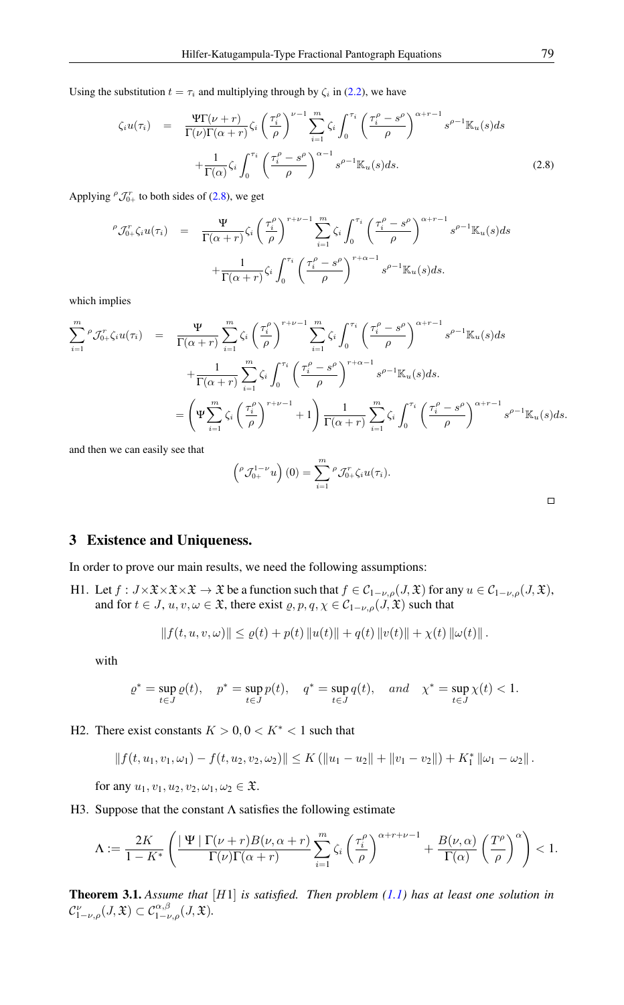Using the substitution  $t = \tau_i$  and multiplying through by  $\zeta_i$  in [\(2.2\)](#page-3-2), we have

<span id="page-5-0"></span>
$$
\zeta_i u(\tau_i) = \frac{\Psi \Gamma(\nu + r)}{\Gamma(\nu) \Gamma(\alpha + r)} \zeta_i \left(\frac{\tau_i^{\rho}}{\rho}\right)^{\nu - 1} \sum_{i=1}^m \zeta_i \int_0^{\tau_i} \left(\frac{\tau_i^{\rho} - s^{\rho}}{\rho}\right)^{\alpha + r - 1} s^{\rho - 1} \mathbb{K}_u(s) ds + \frac{1}{\Gamma(\alpha)} \zeta_i \int_0^{\tau_i} \left(\frac{\tau_i^{\rho} - s^{\rho}}{\rho}\right)^{\alpha - 1} s^{\rho - 1} \mathbb{K}_u(s) ds.
$$
 (2.8)

Applying  ${}^{\rho} \mathcal{J}_{0+}^r$  to both sides of [\(2.8\)](#page-5-0), we get

$$
\rho \mathcal{J}_{0+}^r \zeta_i u(\tau_i) = \frac{\Psi}{\Gamma(\alpha+r)} \zeta_i \left(\frac{\tau_i^{\rho}}{\rho}\right)^{r+\nu-1} \sum_{i=1}^m \zeta_i \int_0^{\tau_i} \left(\frac{\tau_i^{\rho} - s^{\rho}}{\rho}\right)^{\alpha+r-1} s^{\rho-1} \mathbb{K}_u(s) ds + \frac{1}{\Gamma(\alpha+r)} \zeta_i \int_0^{\tau_i} \left(\frac{\tau_i^{\rho} - s^{\rho}}{\rho}\right)^{r+\alpha-1} s^{\rho-1} \mathbb{K}_u(s) ds.
$$

which implies

$$
\sum_{i=1}^{m} \rho \mathcal{J}_{0+}^{r} \zeta_{i} u(\tau_{i}) = \frac{\Psi}{\Gamma(\alpha+r)} \sum_{i=1}^{m} \zeta_{i} \left(\frac{\tau_{i}^{\rho}}{\rho}\right)^{r+\nu-1} \sum_{i=1}^{m} \zeta_{i} \int_{0}^{\tau_{i}} \left(\frac{\tau_{i}^{\rho} - s^{\rho}}{\rho}\right)^{\alpha+r-1} s^{\rho-1} \mathbb{K}_{u}(s) ds \n+ \frac{1}{\Gamma(\alpha+r)} \sum_{i=1}^{m} \zeta_{i} \int_{0}^{\tau_{i}} \left(\frac{\tau_{i}^{\rho} - s^{\rho}}{\rho}\right)^{r+\alpha-1} s^{\rho-1} \mathbb{K}_{u}(s) ds \n= \left(\Psi \sum_{i=1}^{m} \zeta_{i} \left(\frac{\tau_{i}^{\rho}}{\rho}\right)^{r+\nu-1} + 1\right) \frac{1}{\Gamma(\alpha+r)} \sum_{i=1}^{m} \zeta_{i} \int_{0}^{\tau_{i}} \left(\frac{\tau_{i}^{\rho} - s^{\rho}}{\rho}\right)^{\alpha+r-1} s^{\rho-1} \mathbb{K}_{u}(s) ds.
$$

and then we can easily see that

$$
\left({}^{\rho}\mathcal{J}_{0+}^{1-\nu}u\right)(0)=\sum_{i=1}^m{}^{\rho}\mathcal{J}_{0+}^r\zeta_iu(\tau_i).
$$

3 Existence and Uniqueness.

In order to prove our main results, we need the following assumptions:

H1. Let  $f: J \times \mathfrak{X} \times \mathfrak{X} \times \mathfrak{X} \to \mathfrak{X}$  be a function such that  $f \in \mathcal{C}_{1-\nu,\rho}(J,\mathfrak{X})$  for any  $u \in \mathcal{C}_{1-\nu,\rho}(J,\mathfrak{X})$ , and for  $t \in J$ ,  $u, v, \omega \in \mathfrak{X}$ , there exist  $\varrho, p, q, \chi \in \mathcal{C}_{1-\nu,\rho}(J,\mathfrak{X})$  such that

$$
|| f(t, u, v, \omega)|| \leq \varrho(t) + p(t) ||u(t)|| + q(t) ||v(t)|| + \chi(t) ||\omega(t)||.
$$

with

$$
\varrho^*=\sup_{t\in J}\varrho(t),\quad p^*=\sup_{t\in J}p(t),\quad q^*=\sup_{t\in J}q(t),\quad and\quad \chi^*=\sup_{t\in J}\chi(t)<1.
$$

H2. There exist constants  $K > 0, 0 < K^* < 1$  such that

$$
|| f(t, u_1, v_1, \omega_1) - f(t, u_2, v_2, \omega_2)|| \leq K (||u_1 - u_2|| + ||v_1 - v_2||) + K_1^* ||\omega_1 - \omega_2||.
$$

for any  $u_1, v_1, u_2, v_2, \omega_1, \omega_2 \in \mathfrak{X}$ .

H3. Suppose that the constant  $\Lambda$  satisfies the following estimate

$$
\Lambda := \frac{2K}{1-K^*} \left( \frac{\vert \Psi \vert \Gamma(\nu+r)B(\nu,\alpha+r)}{\Gamma(\nu)\Gamma(\alpha+r)} \sum_{i=1}^m \zeta_i \left( \frac{\tau_i^{\rho}}{\rho} \right)^{\alpha+r+\nu-1} + \frac{B(\nu,\alpha)}{\Gamma(\alpha)} \left( \frac{T^{\rho}}{\rho} \right)^{\alpha} \right) < 1.
$$

<span id="page-5-1"></span>Theorem 3.1. *Assume that* [H1] *is satisfied. Then problem [\(1.1\)](#page-0-0) has at least one solution in*  $C_{1-\nu,\rho}^{\nu}(J,\mathfrak{X})\subset \mathcal{C}_{1-\nu,\rho}^{\alpha,\beta}(J,\mathfrak{X}).$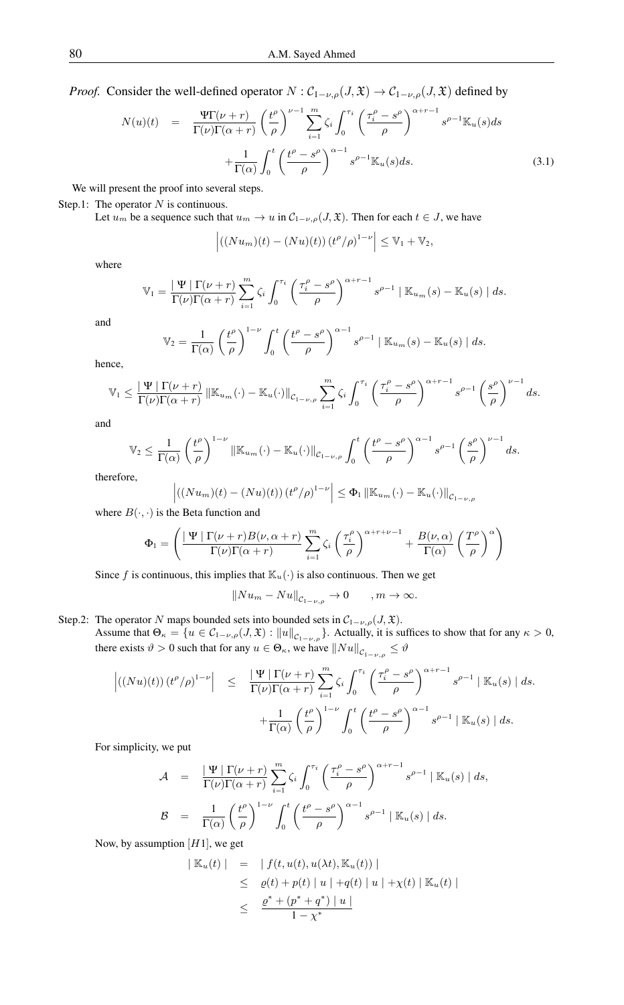*Proof.* Consider the well-defined operator  $N$  :  $C_{1-\nu,\rho}(J,\mathfrak{X}) \to C_{1-\nu,\rho}(J,\mathfrak{X})$  defined by

<span id="page-6-0"></span>
$$
N(u)(t) = \frac{\Psi \Gamma(\nu + r)}{\Gamma(\nu)\Gamma(\alpha + r)} \left(\frac{t^{\rho}}{\rho}\right)^{\nu - 1} \sum_{i=1}^{m} \zeta_{i} \int_{0}^{\tau_{i}} \left(\frac{\tau_{i}^{\rho} - s^{\rho}}{\rho}\right)^{\alpha + r - 1} s^{\rho - 1} \mathbb{K}_{u}(s) ds + \frac{1}{\Gamma(\alpha)} \int_{0}^{t} \left(\frac{t^{\rho} - s^{\rho}}{\rho}\right)^{\alpha - 1} s^{\rho - 1} \mathbb{K}_{u}(s) ds.
$$
 (3.1)

We will present the proof into several steps.

Step.1: The operator  $N$  is continuous.

Let  $u_m$  be a sequence such that  $u_m \to u$  in  $\mathcal{C}_{1-\nu,\rho}(J,\mathfrak{X})$ . Then for each  $t \in J$ , we have

$$
\left| \left( (Nu_m)(t) - (Nu)(t) \right) \left( t^{\rho} / \rho \right)^{1-\nu} \right| \leq \mathbb{V}_1 + \mathbb{V}_2,
$$

where

$$
\mathbb{V}_1 = \frac{|\Psi| \Gamma(\nu+r)}{\Gamma(\nu)\Gamma(\alpha+r)} \sum_{i=1}^m \zeta_i \int_0^{\tau_i} \left(\frac{\tau_i^{\rho} - s^{\rho}}{\rho}\right)^{\alpha+r-1} s^{\rho-1} | \mathbb{K}_{u_m}(s) - \mathbb{K}_u(s) | ds.
$$

and

$$
\mathbb{V}_2 = \frac{1}{\Gamma(\alpha)} \left(\frac{t^{\rho}}{\rho}\right)^{1-\nu} \int_0^t \left(\frac{t^{\rho} - s^{\rho}}{\rho}\right)^{\alpha-1} s^{\rho-1} \mid \mathbb{K}_{u_m}(s) - \mathbb{K}_u(s) \mid ds.
$$

hence,

$$
\mathbb{V}_1 \leq \frac{|\Psi| \Gamma(\nu+r)}{\Gamma(\nu)\Gamma(\alpha+r)} ||\mathbb{K}_{u_m}(\cdot) - \mathbb{K}_{u}(\cdot)||_{\mathcal{C}_{1-\nu,\rho}} \sum_{i=1}^m \zeta_i \int_0^{\tau_i} \left(\frac{\tau_i^{\rho} - s^{\rho}}{\rho}\right)^{\alpha+r-1} s^{\rho-1} \left(\frac{s^{\rho}}{\rho}\right)^{\nu-1} ds.
$$

and

$$
\mathbb{V}_2 \leq \frac{1}{\Gamma(\alpha)} \left(\frac{t^{\rho}}{\rho}\right)^{1-\nu} \|\mathbb{K}_{u_m}(\cdot) - \mathbb{K}_{u}(\cdot)\|_{\mathcal{C}_{1-\nu,\rho}} \int_0^t \left(\frac{t^{\rho} - s^{\rho}}{\rho}\right)^{\alpha-1} s^{\rho-1} \left(\frac{s^{\rho}}{\rho}\right)^{\nu-1} ds.
$$

therefore,

$$
\left| \left( (Nu_m)(t) - (Nu)(t) \right) (t^{\rho}/\rho)^{1-\nu} \right| \leq \Phi_1 \left\| \mathbb{K}_{u_m}(\cdot) - \mathbb{K}_{u}(\cdot) \right\|_{\mathcal{C}_{1-\nu,\rho}}
$$

where  $B(\cdot, \cdot)$  is the Beta function and

$$
\Phi_1 = \left(\frac{|\Psi| \Gamma(\nu+r)B(\nu,\alpha+r)}{\Gamma(\nu)\Gamma(\alpha+r)} \sum_{i=1}^m \zeta_i \left(\frac{\tau_i^{\rho}}{\rho}\right)^{\alpha+r+\nu-1} + \frac{B(\nu,\alpha)}{\Gamma(\alpha)} \left(\frac{T^{\rho}}{\rho}\right)^{\alpha}\right)
$$

Since f is continuous, this implies that  $\mathbb{K}_{u}(\cdot)$  is also continuous. Then we get

$$
||Nu_m-Nu||_{\mathcal{C}_{1-\nu,\rho}}\rightarrow 0\qquad ,m\rightarrow\infty.
$$

Step.2: The operator N maps bounded sets into bounded sets in  $C_{1-\nu,\rho}(J,\mathfrak{X})$ . Assume that  $\Theta_{\kappa} = \{ u \in C_{1-\nu,\rho}(J,\mathfrak{X}) : ||u||_{C_{1-\nu,\rho}} \}$ . Actually, it is suffices to show that for any  $\kappa > 0$ , there exists  $\vartheta > 0$  such that for any  $u \in \Theta_{\kappa}$ , we have  $\|Nu\|_{C_{1-\nu,\rho}} \leq \vartheta$ 

$$
\left| ((Nu)(t)) (t^{\rho}/\rho)^{1-\nu} \right| \leq \frac{|\Psi| \Gamma(\nu+r)}{\Gamma(\nu)\Gamma(\alpha+r)} \sum_{i=1}^{m} \zeta_i \int_0^{\tau_i} \left( \frac{\tau_i^{\rho} - s^{\rho}}{\rho} \right)^{\alpha+r-1} s^{\rho-1} | \mathbb{K}_u(s) | ds + \frac{1}{\Gamma(\alpha)} \left( \frac{t^{\rho}}{\rho} \right)^{1-\nu} \int_0^t \left( \frac{t^{\rho} - s^{\rho}}{\rho} \right)^{\alpha-1} s^{\rho-1} | \mathbb{K}_u(s) | ds.
$$

For simplicity, we put

$$
\mathcal{A} = \frac{|\Psi| \Gamma(\nu+r)}{\Gamma(\nu)\Gamma(\alpha+r)} \sum_{i=1}^{m} \zeta_i \int_0^{\tau_i} \left(\frac{\tau_i^{\rho} - s^{\rho}}{\rho}\right)^{\alpha+r-1} s^{\rho-1} | \mathbb{K}_u(s) | ds,
$$
  

$$
\mathcal{B} = \frac{1}{\Gamma(\alpha)} \left(\frac{t^{\rho}}{\rho}\right)^{1-\nu} \int_0^t \left(\frac{t^{\rho} - s^{\rho}}{\rho}\right)^{\alpha-1} s^{\rho-1} | \mathbb{K}_u(s) | ds.
$$

Now, by assumption  $[H1]$ , we get

$$
|\mathbb{K}_{u}(t)| = |f(t, u(t), u(\lambda t), \mathbb{K}_{u}(t))|
$$
  
\n
$$
\leq \varrho(t) + p(t) |u| + q(t) |u| + \chi(t) |\mathbb{K}_{u}(t)|
$$
  
\n
$$
\leq \frac{\varrho^{*} + (\varrho^{*} + q^{*}) |u|}{1 - \chi^{*}}
$$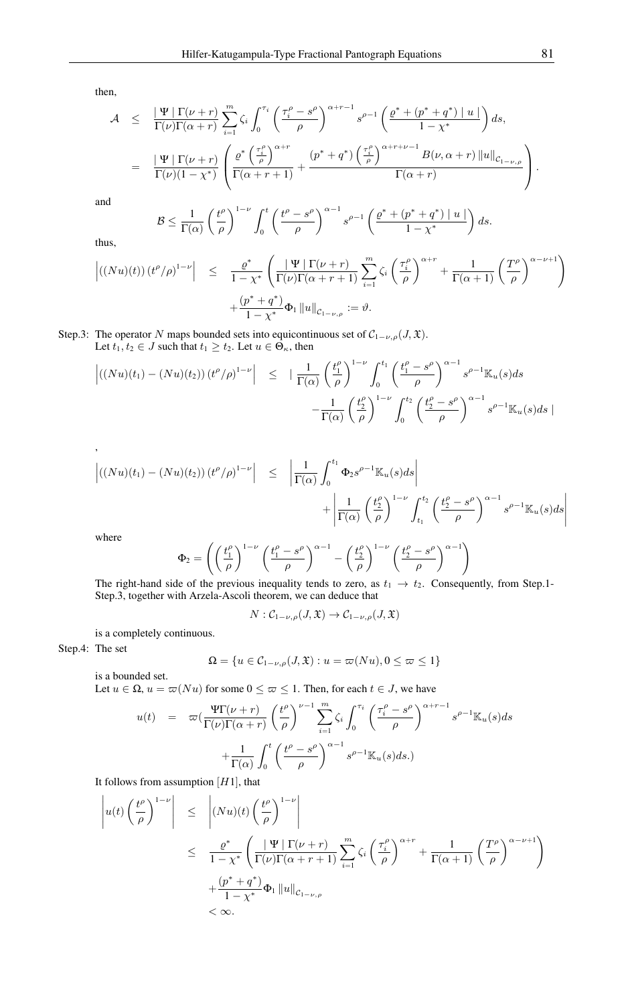then,

$$
\mathcal{A} \leq \frac{|\Psi| \Gamma(\nu+r)}{\Gamma(\nu)\Gamma(\alpha+r)} \sum_{i=1}^{m} \zeta_i \int_0^{\tau_i} \left( \frac{\tau_i^{\rho} - s^{\rho}}{\rho} \right)^{\alpha+r-1} s^{\rho-1} \left( \frac{\varrho^* + (\rho^* + q^*) |u|}{1 - \chi^*} \right) ds,
$$
  

$$
= \frac{|\Psi| \Gamma(\nu+r)}{\Gamma(\nu)(1 - \chi^*)} \left( \frac{\varrho^* \left( \frac{\tau_i^{\rho}}{\rho} \right)^{\alpha+r}}{\Gamma(\alpha+r+1)} + \frac{(\rho^* + q^*) \left( \frac{\tau_i^{\rho}}{\rho} \right)^{\alpha+r+\nu-1} B(\nu, \alpha+r) ||u||_{\mathcal{C}_{1-\nu,\rho}}}{\Gamma(\alpha+r)} \right).
$$

and

$$
\mathcal{B} \leq \frac{1}{\Gamma(\alpha)} \left(\frac{t^{\rho}}{\rho}\right)^{1-\nu} \int_0^t \left(\frac{t^{\rho} - s^{\rho}}{\rho}\right)^{\alpha-1} s^{\rho-1} \left(\frac{\varrho^* + (p^* + q^*) \mid u \mid}{1 - \chi^*}\right) ds.
$$

thus,

$$
\left| \left( (Nu)(t) \right) (t^{\rho}/\rho)^{1-\nu} \right| \leq \frac{\varrho^*}{1-\chi^*} \left( \frac{|\Psi| \Gamma(\nu+r)}{\Gamma(\nu)\Gamma(\alpha+r+1)} \sum_{i=1}^m \zeta_i \left( \frac{\tau_i^{\rho}}{\rho} \right)^{\alpha+r} + \frac{1}{\Gamma(\alpha+1)} \left( \frac{T^{\rho}}{\rho} \right)^{\alpha-\nu+1} \right) + \frac{(\rho^* + q^*)}{1-\chi^*} \Phi_1 \left\| u \right\|_{\mathcal{C}_{1-\nu,\rho}} := \vartheta.
$$

Step.3: The operator N maps bounded sets into equicontinuous set of  $C_{1-\nu,\rho}(J,\mathfrak{X})$ . Let  $t_1, t_2 \in J$  such that  $t_1 \geq t_2$ . Let  $u \in \Theta_{\kappa}$ , then

$$
\left| \left( (Nu)(t_1) - (Nu)(t_2) \right) (t^{\rho}/\rho)^{1-\nu} \right| \leq \left| \frac{1}{\Gamma(\alpha)} \left( \frac{t_1^{\rho}}{\rho} \right)^{1-\nu} \int_0^{t_1} \left( \frac{t_1^{\rho} - s^{\rho}}{\rho} \right)^{\alpha-1} s^{\rho-1} \mathbb{K}_u(s) ds - \frac{1}{\Gamma(\alpha)} \left( \frac{t_2^{\rho}}{\rho} \right)^{1-\nu} \int_0^{t_2} \left( \frac{t_2^{\rho} - s^{\rho}}{\rho} \right)^{\alpha-1} s^{\rho-1} \mathbb{K}_u(s) ds \right|
$$

$$
\left| \left( (Nu)(t_1) - (Nu)(t_2) \right) (t^{\rho}/\rho)^{1-\nu} \right| \leq \left| \frac{1}{\Gamma(\alpha)} \int_0^{t_1} \Phi_2 s^{\rho-1} \mathbb{K}_u(s) ds \right| + \left| \frac{1}{\Gamma(\alpha)} \left( \frac{t_2^{\rho}}{\rho} \right)^{1-\nu} \int_{t_1}^{t_2} \left( \frac{t_2^{\rho} - s^{\rho}}{\rho} \right)^{\alpha-1} s^{\rho-1} \mathbb{K}_u(s) ds \right|
$$

where

,

$$
\Phi_2 = \left( \left( \frac{t_1^{\rho}}{\rho} \right)^{1-\nu} \left( \frac{t_1^{\rho} - s^{\rho}}{\rho} \right)^{\alpha - 1} - \left( \frac{t_2^{\rho}}{\rho} \right)^{1-\nu} \left( \frac{t_2^{\rho} - s^{\rho}}{\rho} \right)^{\alpha - 1} \right)
$$

The right-hand side of the previous inequality tends to zero, as  $t_1 \rightarrow t_2$ . Consequently, from Step.1-Step.3, together with Arzela-Ascoli theorem, we can deduce that

$$
N:\mathcal{C}_{1-\nu,\rho}(J,\mathfrak{X})\to\mathcal{C}_{1-\nu,\rho}(J,\mathfrak{X})
$$

is a completely continuous.

Step.4: The set

$$
\Omega = \{ u \in C_{1-\nu,\rho}(J,\mathfrak{X}) : u = \varpi(Nu), 0 \le \varpi \le 1 \}
$$

is a bounded set. Let  $u \in \Omega$ ,  $u = \varpi(Nu)$  for some  $0 \leq \varpi \leq 1$ . Then, for each  $t \in J$ , we have

$$
u(t) = \varpi \left(\frac{\Psi \Gamma(\nu + r)}{\Gamma(\nu)\Gamma(\alpha + r)} \left(\frac{t^{\rho}}{\rho}\right)^{\nu - 1} \sum_{i=1}^{m} \zeta_{i} \int_{0}^{\tau_{i}} \left(\frac{\tau_{i}^{\rho} - s^{\rho}}{\rho}\right)^{\alpha + r - 1} s^{\rho - 1} \mathbb{K}_{u}(s) ds + \frac{1}{\Gamma(\alpha)} \int_{0}^{t} \left(\frac{t^{\rho} - s^{\rho}}{\rho}\right)^{\alpha - 1} s^{\rho - 1} \mathbb{K}_{u}(s) ds.
$$

It follows from assumption  $[H1]$ , that

$$
\left| u(t) \left( \frac{t^{\rho}}{\rho} \right)^{1-\nu} \right| \leq \left| (Nu)(t) \left( \frac{t^{\rho}}{\rho} \right)^{1-\nu} \right|
$$
  

$$
\leq \frac{\varrho^*}{1-\chi^*} \left( \frac{|\Psi| \Gamma(\nu+r)}{\Gamma(\nu)\Gamma(\alpha+r+1)} \sum_{i=1}^m \zeta_i \left( \frac{\tau_i^{\rho}}{\rho} \right)^{\alpha+r} + \frac{1}{\Gamma(\alpha+1)} \left( \frac{T^{\rho}}{\rho} \right)^{\alpha-\nu+1} \right)
$$
  

$$
+ \frac{(p^*+q^*)}{1-\chi^*} \Phi_1 ||u||_{\mathcal{C}_{1-\nu,\rho}}
$$
  

$$
< \infty.
$$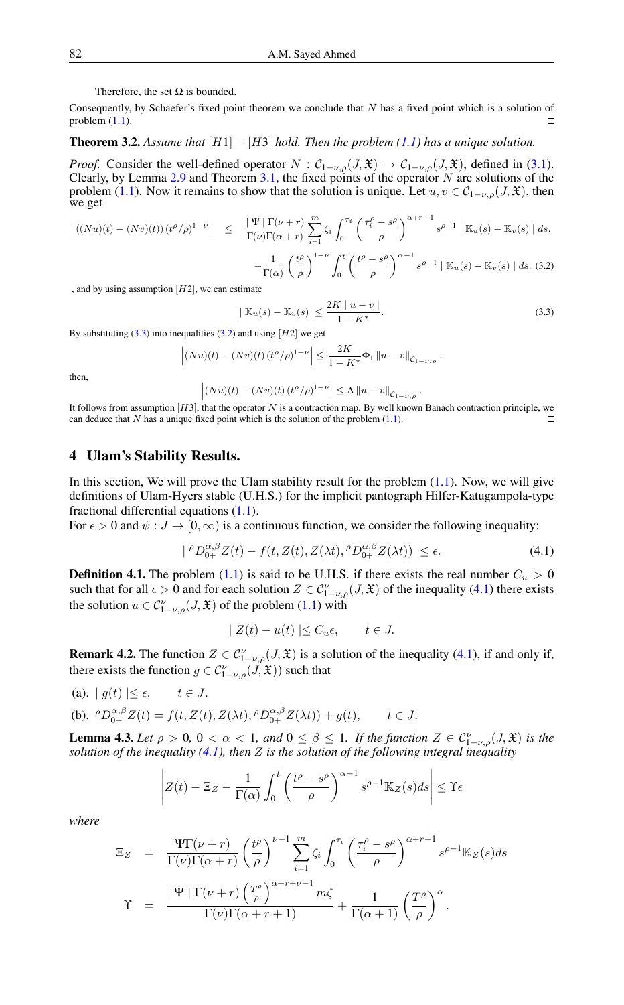Therefore, the set Ω is bounded.

Consequently, by Schaefer's fixed point theorem we conclude that  $N$  has a fixed point which is a solution of problem  $(1.1)$ .  $\Box$ 

## <span id="page-8-4"></span>**Theorem 3.2.** *Assume that*  $[H1] - [H3]$  *hold. Then the problem* [\(1.1\)](#page-0-0) *has a unique solution.*

*Proof.* Consider the well-defined operator  $N$  :  $C_{1-\nu,\rho}(J,\mathfrak{X}) \to C_{1-\nu,\rho}(J,\mathfrak{X})$ , defined in [\(3.1\)](#page-6-0). Clearly, by Lemma [2.9](#page-3-3) and Theorem [3.1,](#page-5-1) the fixed points of the operator  $N$  are solutions of the problem [\(1.1\)](#page-0-0). Now it remains to show that the solution is unique. Let  $u, v \in C_{1-\nu,\rho}(J,\mathfrak{X})$ , then we get

<span id="page-8-1"></span>
$$
\left| ((Nu)(t) - (Nv)(t)) (t^{\rho}/\rho)^{1-\nu} \right| \leq \frac{|\Psi| \Gamma(\nu+r)}{\Gamma(\nu)\Gamma(\alpha+r)} \sum_{i=1}^{m} \zeta_i \int_0^{\tau_i} \left( \frac{\tau_i^{\rho} - s^{\rho}}{\rho} \right)^{\alpha+r-1} s^{\rho-1} |\mathbb{K}_u(s) - \mathbb{K}_v(s)| ds.
$$
  
+ 
$$
\frac{1}{\Gamma(\alpha)} \left( \frac{t^{\rho}}{\rho} \right)^{1-\nu} \int_0^t \left( \frac{t^{\rho} - s^{\rho}}{\rho} \right)^{\alpha-1} s^{\rho-1} |\mathbb{K}_u(s) - \mathbb{K}_v(s)| ds. (3.2)
$$

, and by using assumption  $|H2|$ , we can estimate

<span id="page-8-0"></span>
$$
|\mathbb{K}_u(s) - \mathbb{K}_v(s)| \le \frac{2K \mid u - v \mid}{1 - K^*}.
$$
\n(3.3)

<span id="page-8-2"></span>.

By substituting  $(3.3)$  into inequalities  $(3.2)$  and using  $[H2]$  we get

$$
\left| (Nu)(t) - (Nv)(t) (t^{\rho}/\rho)^{1-\nu} \right| \le \frac{2K}{1 - K^*} \Phi_1 \|u - v\|_{\mathcal{C}_{1-\nu,\rho}}
$$

then,

$$
|(Nu)(t) - (Nv)(t) (t^{\rho}/\rho)^{1-\nu}| \le \Lambda \|u - v\|_{C_{1-\nu,\rho}}.
$$

It follows from assumption  $[H3]$ , that the operator N is a contraction map. By well known Banach contraction principle, we can deduce that  $N$  has a unique fixed point which is the solution of the problem  $(1.1)$ .

#### 4 Ulam's Stability Results.

 $\bigg\}$  $\overline{\phantom{a}}$  $\overline{\phantom{a}}$  $\overline{\phantom{a}}$  $\vert$ 

In this section, We will prove the Ulam stability result for the problem  $(1.1)$ . Now, we will give definitions of Ulam-Hyers stable (U.H.S.) for the implicit pantograph Hilfer-Katugampola-type fractional differential equations [\(1.1\)](#page-0-0).

For  $\epsilon > 0$  and  $\psi : J \to [0, \infty)$  is a continuous function, we consider the following inequality:

$$
| \,^{\rho}D_{0+}^{\alpha,\beta}Z(t) - f(t,Z(t),Z(\lambda t), \,^{\rho}D_{0+}^{\alpha,\beta}Z(\lambda t)) \, | \le \epsilon. \tag{4.1}
$$

**Definition 4.1.** The problem [\(1.1\)](#page-0-0) is said to be U.H.S. if there exists the real number  $C_u > 0$ such that for all  $\epsilon > 0$  and for each solution  $Z \in C_{1-\nu,\rho}^{\nu}(J,\mathfrak{X})$  of the inequality [\(4.1\)](#page-8-2) there exists the solution  $u \in C_{1-\nu,\rho}^{\nu}(J,\mathfrak{X})$  of the problem  $(1.1)$  with

$$
| Z(t) - u(t) | \le C_u \epsilon, \qquad t \in J.
$$

<span id="page-8-3"></span>**Remark 4.2.** The function  $Z \in C_{1-\nu,\rho}^{\nu}(J,\mathfrak{X})$  is a solution of the inequality [\(4.1\)](#page-8-2), if and only if, there exists the function  $g \in C_{1-\nu,\rho}^{\nu}(J,\mathfrak{X}))$  such that

(a). 
$$
| g(t) | \le \epsilon
$$
,  $t \in J$ .  
\n(b).  ${}^{\rho}D_{0+}^{\alpha,\beta}Z(t) = f(t, Z(t), Z(\lambda t), {}^{\rho}D_{0+}^{\alpha,\beta}Z(\lambda t)) + g(t)$ ,  $t \in J$ .

<span id="page-8-5"></span>**Lemma 4.3.** Let  $\rho > 0$ ,  $0 < \alpha < 1$ , and  $0 \le \beta \le 1$ . If the function  $Z \in C_{1-\nu,\rho}^{\nu}(J,\mathfrak{X})$  is the *solution of the inequality [\(4.1\)](#page-8-2), then* Z *is the solution of the following integral inequality*

$$
Z(t) - \Xi_Z - \frac{1}{\Gamma(\alpha)} \int_0^t \left( \frac{t^{\rho} - s^{\rho}}{\rho} \right)^{\alpha - 1} s^{\rho - 1} \mathbb{K}_Z(s) ds \le \Upsilon \epsilon
$$

*where*

$$
\Xi_Z = \frac{\Psi \Gamma(\nu + r)}{\Gamma(\nu)\Gamma(\alpha + r)} \left(\frac{t^{\rho}}{\rho}\right)^{\nu - 1} \sum_{i=1}^m \zeta_i \int_0^{\tau_i} \left(\frac{\tau_i^{\rho} - s^{\rho}}{\rho}\right)^{\alpha + r - 1} s^{\rho - 1} \mathbb{K}_Z(s) ds
$$

$$
\Upsilon = \frac{|\Psi| \Gamma(\nu + r) \left(\frac{T^{\rho}}{\rho}\right)^{\alpha + r + \nu - 1} m \zeta}{\Gamma(\nu)\Gamma(\alpha + r + 1)} + \frac{1}{\Gamma(\alpha + 1)} \left(\frac{T^{\rho}}{\rho}\right)^{\alpha}.
$$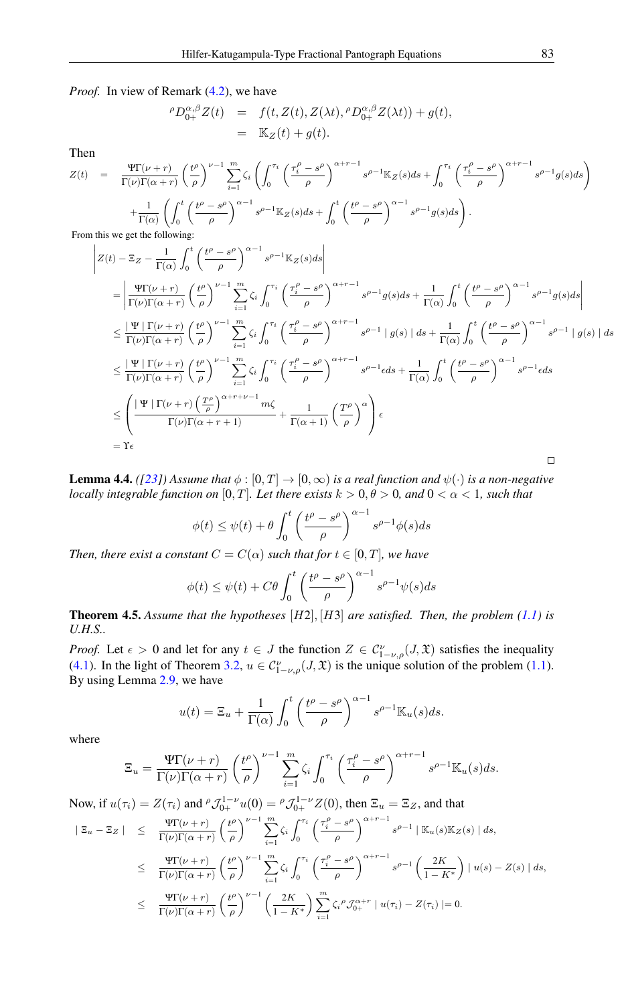*Proof.* In view of Remark  $(4.2)$ , we have

$$
\begin{array}{rcl}\n{}^{\rho}D_{0+}^{\alpha,\beta}Z(t) & = & f(t, Z(t), Z(\lambda t), {}^{\rho}D_{0+}^{\alpha,\beta}Z(\lambda t)) + g(t), \\
& = & \mathbb{K}_Z(t) + g(t).\n\end{array}
$$

Then

$$
Z(t) = \frac{\Psi \Gamma(\nu + r)}{\Gamma(\nu)\Gamma(\alpha + r)} \left(\frac{t^{\rho}}{\rho}\right)^{\nu - 1} \sum_{i=1}^{m} \zeta_{i} \left(\int_{0}^{\tau_{i}} \left(\frac{\tau_{i}^{\rho} - s^{\rho}}{\rho}\right)^{\alpha + r - 1} s^{\rho - 1} \mathbb{K}_{Z}(s) ds + \int_{0}^{\tau_{i}} \left(\frac{\tau_{i}^{\rho} - s^{\rho}}{\rho}\right)^{\alpha + r - 1} s^{\rho - 1} g(s) ds\right) + \frac{1}{\Gamma(\alpha)} \left(\int_{0}^{t} \left(\frac{t^{\rho} - s^{\rho}}{\rho}\right)^{\alpha - 1} s^{\rho - 1} \mathbb{K}_{Z}(s) ds + \int_{0}^{t} \left(\frac{t^{\rho} - s^{\rho}}{\rho}\right)^{\alpha - 1} s^{\rho - 1} g(s) ds\right).
$$
  
From this we get the following:

From this we get the following:

$$
\begin{split}\n&\left| Z(t) - \Xi_Z - \frac{1}{\Gamma(\alpha)} \int_0^t \left( \frac{t^{\rho} - s^{\rho}}{\rho} \right)^{\alpha - 1} s^{\rho - 1} \mathbb{K}_Z(s) ds \right| \\
&= \left| \frac{\Psi \Gamma(\nu + r)}{\Gamma(\nu) \Gamma(\alpha + r)} \left( \frac{t^{\rho}}{\rho} \right)^{\nu - 1} \sum_{i=1}^m \zeta_i \int_0^{\tau_i} \left( \frac{\tau_i^{\rho} - s^{\rho}}{\rho} \right)^{\alpha + r - 1} s^{\rho - 1} g(s) ds + \frac{1}{\Gamma(\alpha)} \int_0^t \left( \frac{t^{\rho} - s^{\rho}}{\rho} \right)^{\alpha - 1} s^{\rho - 1} g(s) ds \right| \\
&\leq \frac{|\Psi| \Gamma(\nu + r)}{\Gamma(\nu) \Gamma(\alpha + r)} \left( \frac{t^{\rho}}{\rho} \right)^{\nu - 1} \sum_{i=1}^m \zeta_i \int_0^{\tau_i} \left( \frac{\tau_i^{\rho} - s^{\rho}}{\rho} \right)^{\alpha + r - 1} s^{\rho - 1} |g(s)| ds + \frac{1}{\Gamma(\alpha)} \int_0^t \left( \frac{t^{\rho} - s^{\rho}}{\rho} \right)^{\alpha - 1} s^{\rho - 1} |g(s)| ds \\
&\leq \frac{|\Psi| \Gamma(\nu + r)}{\Gamma(\nu) \Gamma(\alpha + r)} \left( \frac{t^{\rho}}{\rho} \right)^{\nu - 1} \sum_{i=1}^m \zeta_i \int_0^{\tau_i} \left( \frac{\tau_i^{\rho} - s^{\rho}}{\rho} \right)^{\alpha + r - 1} s^{\rho - 1} e ds + \frac{1}{\Gamma(\alpha)} \int_0^t \left( \frac{t^{\rho} - s^{\rho}}{\rho} \right)^{\alpha - 1} s^{\rho - 1} e ds \\
&\leq \left( \frac{|\Psi| \Gamma(\nu + r) \left( \frac{T^{\rho}}{\rho} \right)^{\alpha + r + \nu - 1} m \zeta}{\Gamma(\nu) \Gamma(\alpha + r + 1)} + \frac{1}{\Gamma(\alpha + 1)} \left( \frac{T^{\rho}}{\rho} \right)^{\alpha} \right) \epsilon \\
&= \Gamma \epsilon\n\end{split}
$$

<span id="page-9-0"></span>**Lemma 4.4.** *(*[\[23\]](#page-11-11)) Assume that  $\phi : [0, T] \to [0, \infty)$  *is a real function and*  $\psi(\cdot)$  *is a non-negative locally integrable function on* [0, T]. Let there exists  $k > 0, \theta > 0$ , and  $0 < \alpha < 1$ , such that

$$
\phi(t) \le \psi(t) + \theta \int_0^t \left(\frac{t^{\rho} - s^{\rho}}{\rho}\right)^{\alpha - 1} s^{\rho - 1} \phi(s) ds
$$

*Then, there exist a constant*  $C = C(\alpha)$  *such that for*  $t \in [0, T]$ *, we have* 

$$
\phi(t) \le \psi(t) + C\theta \int_0^t \left(\frac{t^{\rho} - s^{\rho}}{\rho}\right)^{\alpha - 1} s^{\rho - 1} \psi(s) ds
$$

<span id="page-9-1"></span>Theorem 4.5. *Assume that the hypotheses* [H2], [H3] *are satisfied. Then, the problem [\(1.1\)](#page-0-0) is U.H.S..*

*Proof.* Let  $\epsilon > 0$  and let for any  $t \in J$  the function  $Z \in C_{1-\nu,\rho}^{\nu}(J,\mathfrak{X})$  satisfies the inequality [\(4.1\)](#page-8-2). In the light of Theorem [3.2,](#page-8-4)  $u \in C_{1-\nu,\rho}^{\nu}(J,\mathfrak{X})$  is the unique solution of the problem [\(1.1\)](#page-0-0). By using Lemma [2.9,](#page-3-3) we have

$$
u(t) = \Xi_u + \frac{1}{\Gamma(\alpha)} \int_0^t \left(\frac{t^{\rho} - s^{\rho}}{\rho}\right)^{\alpha - 1} s^{\rho - 1} \mathbb{K}_u(s) ds.
$$

where

$$
\Xi_u = \frac{\Psi \Gamma(\nu + r)}{\Gamma(\nu)\Gamma(\alpha + r)} \left(\frac{t^{\rho}}{\rho}\right)^{\nu - 1} \sum_{i=1}^m \zeta_i \int_0^{\tau_i} \left(\frac{\tau_i^{\rho} - s^{\rho}}{\rho}\right)^{\alpha + r - 1} s^{\rho - 1} \mathbb{K}_u(s) ds.
$$

Now, if  $u(\tau_i) = Z(\tau_i)$  and  $^{\rho} \mathcal{J}_{0+}^{1-\nu} u(0) = ^{\rho} \mathcal{J}_{0+}^{1-\nu} Z(0)$ , then  $\Xi_u = \Xi_Z$ , and that

$$
\begin{array}{rcl}\n|\Xi_u - \Xi_Z| & \leq & \frac{\Psi \Gamma(\nu + r)}{\Gamma(\nu) \Gamma(\alpha + r)} \left(\frac{t^{\rho}}{\rho}\right)^{\nu - 1} \sum_{i = 1}^m \zeta_i \int_0^{\tau_i} \left(\frac{\tau_i^{\rho} - s^{\rho}}{\rho}\right)^{\alpha + r - 1} s^{\rho - 1} \,|\, \mathbb{K}_u(s) \mathbb{K}_Z(s) \,|\, ds, \\
& \leq & \frac{\Psi \Gamma(\nu + r)}{\Gamma(\nu) \Gamma(\alpha + r)} \left(\frac{t^{\rho}}{\rho}\right)^{\nu - 1} \sum_{i = 1}^m \zeta_i \int_0^{\tau_i} \left(\frac{\tau_i^{\rho} - s^{\rho}}{\rho}\right)^{\alpha + r - 1} s^{\rho - 1} \left(\frac{2K}{1 - K^*}\right) \,|\, u(s) - Z(s) \,|\, ds, \\
& \leq & \frac{\Psi \Gamma(\nu + r)}{\Gamma(\nu) \Gamma(\alpha + r)} \left(\frac{t^{\rho}}{\rho}\right)^{\nu - 1} \left(\frac{2K}{1 - K^*}\right) \sum_{i = 1}^m \zeta_i^{\rho} \mathcal{J}_{0+}^{\alpha + r} \,|\, u(\tau_i) - Z(\tau_i) \,|\, = 0.\n\end{array}
$$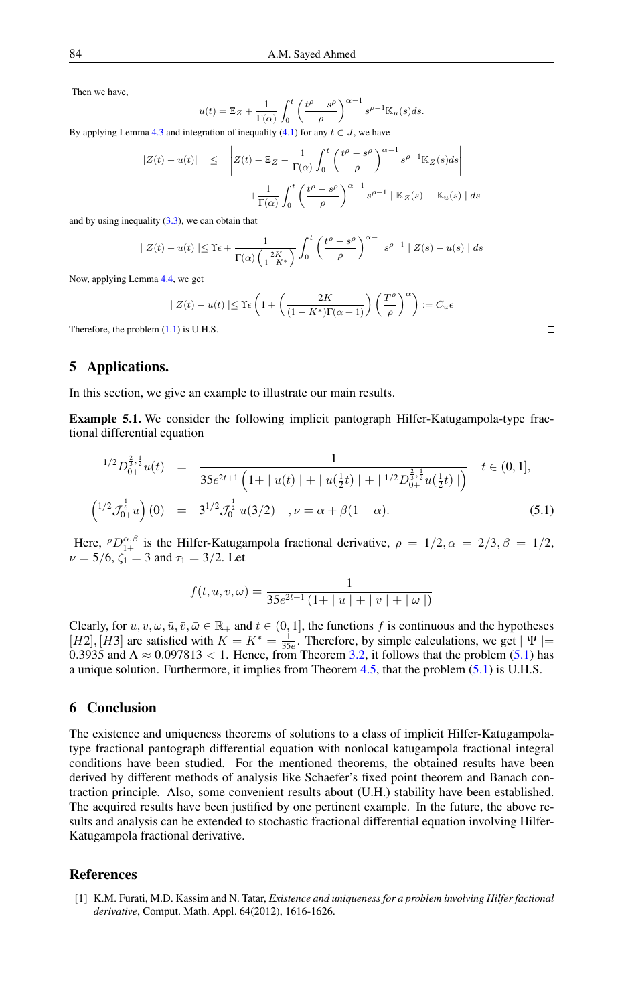Then we have,

$$
u(t) = \Xi_Z + \frac{1}{\Gamma(\alpha)} \int_0^t \left(\frac{t^{\rho} - s^{\rho}}{\rho}\right)^{\alpha - 1} s^{\rho - 1} \mathbb{K}_u(s) ds.
$$
  
gration of inequality (4.1) for any  $t \in I$ , we have

By applying Lemma  $4.3$  and integration of inequality  $(4.1)$  for any

$$
|Z(t) - u(t)| \leq \left| Z(t) - \Xi_Z - \frac{1}{\Gamma(\alpha)} \int_0^t \left( \frac{t^{\rho} - s^{\rho}}{\rho} \right)^{\alpha - 1} s^{\rho - 1} \mathbb{K}_Z(s) ds \right|
$$

$$
+ \frac{1}{\Gamma(\alpha)} \int_0^t \left( \frac{t^{\rho} - s^{\rho}}{\rho} \right)^{\alpha - 1} s^{\rho - 1} |\mathbb{K}_Z(s) - \mathbb{K}_u(s)| ds
$$

and by using inequality [\(3.3\)](#page-8-0), we can obtain that

$$
| Z(t) - u(t) | \leq \Upsilon \epsilon + \frac{1}{\Gamma(\alpha) \left( \frac{2K}{1 - K^*} \right)} \int_0^t \left( \frac{t^{\rho} - s^{\rho}}{\rho} \right)^{\alpha - 1} s^{\rho - 1} | Z(s) - u(s) | ds
$$

Now, applying Lemma [4.4,](#page-9-0) we get

$$
| Z(t) - u(t) | \leq \Upsilon \epsilon \left( 1 + \left( \frac{2K}{(1 - K^*) \Gamma(\alpha + 1)} \right) \left( \frac{T^{\rho}}{\rho} \right)^{\alpha} \right) := C_u \epsilon
$$

Therefore, the problem [\(1.1\)](#page-0-0) is U.H.S.

# 5 Applications.

In this section, we give an example to illustrate our main results.

Example 5.1. We consider the following implicit pantograph Hilfer-Katugampola-type fractional differential equation

<span id="page-10-2"></span>
$$
{}^{1/2}D_{0+}^{\frac{2}{3},\frac{1}{2}}u(t) = \frac{1}{35e^{2t+1}\left(1+|u(t)|+|u(\frac{1}{2}t)|+|^{1/2}D_{0+}^{\frac{2}{3},\frac{1}{2}}u(\frac{1}{2}t)|\right)} \quad t \in (0,1],
$$
  

$$
\left({}^{1/2}\mathcal{J}_{0+}^{\frac{1}{6}}u\right)(0) = 3^{1/2}\mathcal{J}_{0+}^{\frac{1}{2}}u(3/2) \quad, \nu = \alpha + \beta(1-\alpha).
$$
 (5.1)

Here,  $^{\rho}D_{1+}^{\alpha,\beta}$  is the Hilfer-Katugampola fractional derivative,  $\rho = 1/2, \alpha = 2/3, \beta = 1/2,$  $\nu = 5/6$ ,  $\zeta_1 = 3$  and  $\tau_1 = 3/2$ . Let

$$
f(t, u, v, \omega) = \frac{1}{35e^{2t+1} (1+|u|+|v|+|\omega|)}
$$

Clearly, for  $u, v, \omega, \bar{u}, \bar{v}, \bar{\omega} \in \mathbb{R}_+$  and  $t \in (0, 1]$ , the functions f is continuous and the hypotheses  $[H2], [H3]$  are satisfied with  $K = K^* = \frac{1}{35e}$ . Therefore, by simple calculations, we get  $|\Psi|$ 0.3935 and  $\Lambda \approx 0.097813 < 1$ . Hence, from Theorem [3.2,](#page-8-4) it follows that the problem [\(5.1\)](#page-10-2) has a unique solution. Furthermore, it implies from Theorem [4.5,](#page-9-1) that the problem [\(5.1\)](#page-10-2) is U.H.S.

# 6 Conclusion

The existence and uniqueness theorems of solutions to a class of implicit Hilfer-Katugampolatype fractional pantograph differential equation with nonlocal katugampola fractional integral conditions have been studied. For the mentioned theorems, the obtained results have been derived by different methods of analysis like Schaefer's fixed point theorem and Banach contraction principle. Also, some convenient results about (U.H.) stability have been established. The acquired results have been justified by one pertinent example. In the future, the above results and analysis can be extended to stochastic fractional differential equation involving Hilfer-Katugampola fractional derivative.

# <span id="page-10-0"></span>References

<span id="page-10-1"></span>[1] K.M. Furati, M.D. Kassim and N. Tatar, *Existence and uniqueness for a problem involving Hilfer factional derivative*, Comput. Math. Appl. 64(2012), 1616-1626.

 $\Box$